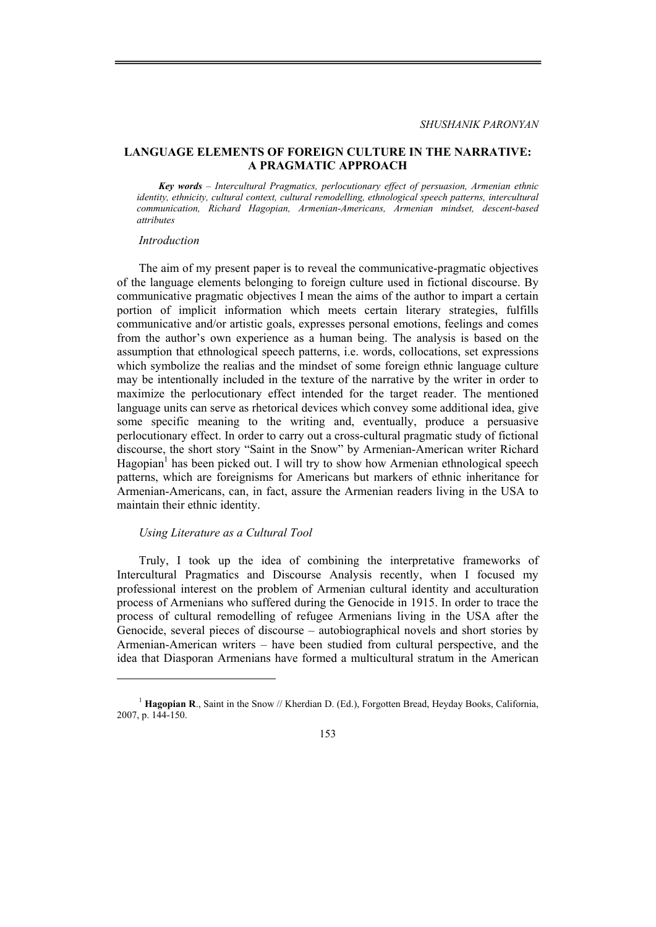## **LANGUAGE ELEMENTS OF FOREIGN CULTURE IN THE NARRATIVE: A PRAGMATIC APPROACH**

*Key words – Intercultural Pragmatics, perlocutionary effect of persuasion, Armenian ethnic identity, ethnicity, cultural context, cultural remodelling, ethnological speech patterns, intercultural communication, Richard Hagopian, Armenian-Americans, Armenian mindset, descent-based attributes* 

### *Introduction*

The aim of my present paper is to reveal the communicative-pragmatic objectives of the language elements belonging to foreign culture used in fictional discourse. By communicative pragmatic objectives I mean the aims of the author to impart a certain portion of implicit information which meets certain literary strategies, fulfills communicative and/or artistic goals, expresses personal emotions, feelings and comes from the author's own experience as a human being. The analysis is based on the assumption that ethnological speech patterns, i.e. words, collocations, set expressions which symbolize the realias and the mindset of some foreign ethnic language culture may be intentionally included in the texture of the narrative by the writer in order to maximize the perlocutionary effect intended for the target reader. The mentioned language units can serve as rhetorical devices which convey some additional idea, give some specific meaning to the writing and, eventually, produce a persuasive perlocutionary effect. In order to carry out a cross-cultural pragmatic study of fictional discourse, the short story "Saint in the Snow" by Armenian-American writer Richard Hagopian<sup>1</sup> has been picked out. I will try to show how Armenian ethnological speech patterns, which are foreignisms for Americans but markers of ethnic inheritance for Armenian-Americans, can, in fact, assure the Armenian readers living in the USA to maintain their ethnic identity.

### *Using Literature as a Cultural Tool*

Truly, I took up the idea of combining the interpretative frameworks of Intercultural Pragmatics and Discourse Analysis recently, when I focused my professional interest on the problem of Armenian cultural identity and acculturation process of Armenians who suffered during the Genocide in 1915. In order to trace the process of cultural remodelling of refugee Armenians living in the USA after the Genocide, several pieces of discourse – autobiographical novels and short stories by Armenian-American writers – have been studied from cultural perspective, and the idea that Diasporan Armenians have formed a multicultural stratum in the American

<sup>&</sup>lt;sup>1</sup> Hagopian R., Saint in the Snow // Kherdian D. (Ed.), Forgotten Bread, Heyday Books, California, 2007, p. 144-150.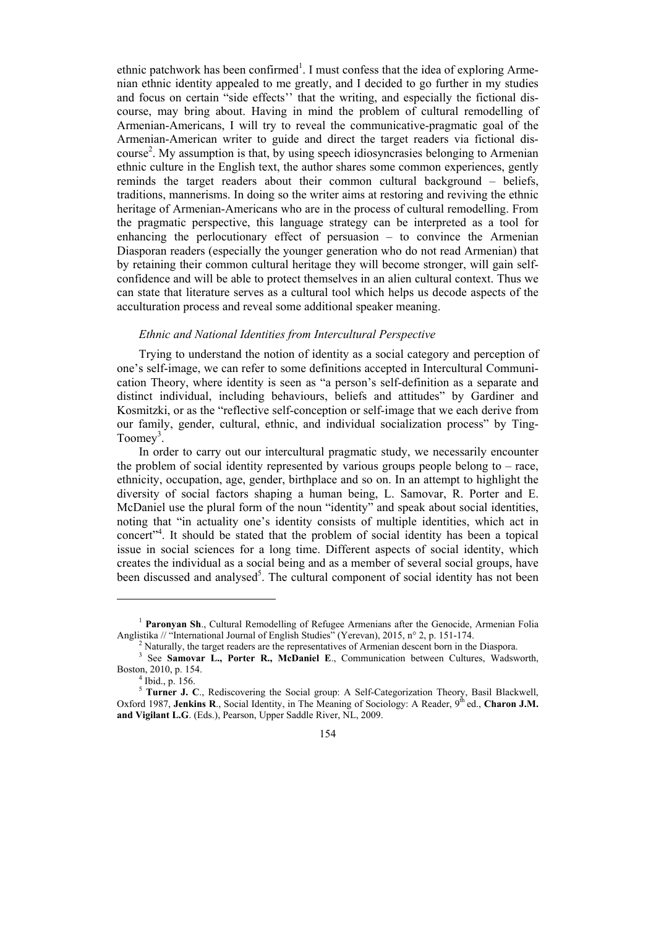ethnic patchwork has been confirmed<sup>1</sup>. I must confess that the idea of exploring Armenian ethnic identity appealed to me greatly, and I decided to go further in my studies and focus on certain "side effects'' that the writing, and especially the fictional discourse, may bring about. Having in mind the problem of cultural remodelling of Armenian-Americans, I will try to reveal the communicative-pragmatic goal of the Armenian-American writer to guide and direct the target readers via fictional discourse<sup>2</sup>. My assumption is that, by using speech idiosyncrasies belonging to Armenian ethnic culture in the English text, the author shares some common experiences, gently reminds the target readers about their common cultural background – beliefs, traditions, mannerisms. In doing so the writer aims at restoring and reviving the ethnic heritage of Armenian-Americans who are in the process of cultural remodelling. From the pragmatic perspective, this language strategy can be interpreted as a tool for enhancing the perlocutionary effect of persuasion – to convince the Armenian Diasporan readers (especially the younger generation who do not read Armenian) that by retaining their common cultural heritage they will become stronger, will gain selfconfidence and will be able to protect themselves in an alien cultural context. Thus we can state that literature serves as a cultural tool which helps us decode aspects of the acculturation process and reveal some additional speaker meaning.

## *Ethnic and National Identities from Intercultural Perspective*

Trying to understand the notion of identity as a social category and perception of one's self-image, we can refer to some definitions accepted in Intercultural Communication Theory, where identity is seen as "a person's self-definition as a separate and distinct individual, including behaviours, beliefs and attitudes" by Gardiner and Kosmitzki, or as the "reflective self-conception or self-image that we each derive from our family, gender, cultural, ethnic, and individual socialization process" by Ting-Toomey<sup>3</sup>.

In order to carry out our intercultural pragmatic study, we necessarily encounter the problem of social identity represented by various groups people belong to – race, ethnicity, occupation, age, gender, birthplace and so on. In an attempt to highlight the diversity of social factors shaping a human being, L. Samovar, R. Porter and E. McDaniel use the plural form of the noun "identity" and speak about social identities, noting that "in actuality one's identity consists of multiple identities, which act in concert"<sup>4</sup>. It should be stated that the problem of social identity has been a topical issue in social sciences for a long time. Different aspects of social identity, which creates the individual as a social being and as a member of several social groups, have been discussed and analysed<sup>5</sup>. The cultural component of social identity has not been

<sup>&</sup>lt;sup>1</sup> Paronyan Sh., Cultural Remodelling of Refugee Armenians after the Genocide, Armenian Folia Anglistika // "International Journal of English Studies" (Yerevan), 2015, n° 2, p. 151-174.

Naturally, the target readers are the representatives of Armenian descent born in the Diaspora.

<sup>&</sup>lt;sup>3</sup> See Samovar L., Porter R., McDaniel E., Communication between Cultures, Wadsworth, Boston, 2010, p. 154. 4

 $<sup>4</sup>$  Ibid., p. 156.</sup>

<sup>&</sup>lt;sup>5</sup> Turner J. C., Rediscovering the Social group: A Self-Categorization Theory, Basil Blackwell, Oxford 1987, Jenkins R., Social Identity, in The Meaning of Sociology: A Reader, 9<sup>th</sup> ed., Charon J.M. **and Vigilant L.G**. (Eds.), Pearson, Upper Saddle River, NL, 2009.

<sup>154</sup>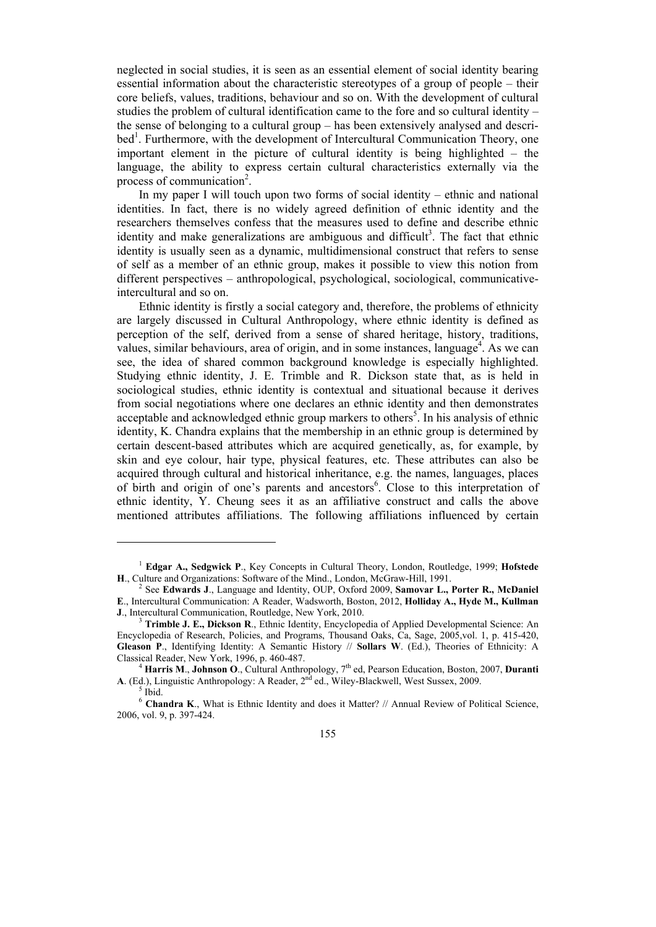neglected in social studies, it is seen as an essential element of social identity bearing essential information about the characteristic stereotypes of a group of people – their core beliefs, values, traditions, behaviour and so on. With the development of cultural studies the problem of cultural identification came to the fore and so cultural identity – the sense of belonging to a cultural group – has been extensively analysed and described<sup>1</sup>. Furthermore, with the development of Intercultural Communication Theory, one important element in the picture of cultural identity is being highlighted – the language, the ability to express certain cultural characteristics externally via the process of communication<sup>2</sup>.

In my paper I will touch upon two forms of social identity – ethnic and national identities. In fact, there is no widely agreed definition of ethnic identity and the researchers themselves confess that the measures used to define and describe ethnic identity and make generalizations are ambiguous and difficult<sup>3</sup>. The fact that ethnic identity is usually seen as a dynamic, multidimensional construct that refers to sense of self as a member of an ethnic group, makes it possible to view this notion from different perspectives – anthropological, psychological, sociological, communicativeintercultural and so on.

Ethnic identity is firstly a social category and, therefore, the problems of ethnicity are largely discussed in Cultural Anthropology, where ethnic identity is defined as perception of the self, derived from a sense of shared heritage, history, traditions, values, similar behaviours, area of origin, and in some instances, language<sup>4</sup>. As we can see, the idea of shared common background knowledge is especially highlighted. Studying ethnic identity, J. E. Trimble and R. Dickson state that, as is held in sociological studies, ethnic identity is contextual and situational because it derives from social negotiations where one declares an ethnic identity and then demonstrates acceptable and acknowledged ethnic group markers to others<sup>5</sup>. In his analysis of ethnic identity, K. Chandra explains that the membership in an ethnic group is determined by certain descent-based attributes which are acquired genetically, as, for example, by skin and eye colour, hair type, physical features, etc. These attributes can also be acquired through cultural and historical inheritance, e.g. the names, languages, places of birth and origin of one's parents and ancestors<sup>6</sup>. Close to this interpretation of ethnic identity, Y. Cheung sees it as an affiliative construct and calls the above mentioned attributes affiliations. The following affiliations influenced by certain

<sup>&</sup>lt;sup>1</sup> Edgar A., Sedgwick P., Key Concepts in Cultural Theory, London, Routledge, 1999; Hofstede **<sup>H</sup>**., Culture and Organizations: Software of the Mind., London, McGraw-Hill, 1991. 2

See **Edwards J**., Language and Identity, OUP, Oxford 2009, **Samovar L., Porter R., McDaniel E**., Intercultural Communication: A Reader, Wadsworth, Boston, 2012, **Holliday A., Hyde M., Kullman J**., Intercultural Communication, Routledge, New York, 2010.

<sup>&</sup>lt;sup>3</sup> Trimble J. E., Dickson R., Ethnic Identity, Encyclopedia of Applied Developmental Science: An Encyclopedia of Research, Policies, and Programs, Thousand Oaks, Ca, Sage, 2005,vol. 1, p. 415-420, **Gleason P**., Identifying Identity: A Semantic History // **Sollars W**. (Ed.), Theories of Ethnicity: A Classical Reader, New York, 1996, p. 460-487.

<sup>&</sup>lt;sup>4</sup> Harris M., Johnson O., Cultural Anthropology, 7<sup>th</sup> ed, Pearson Education, Boston, 2007, Duranti A. (Ed.), Linguistic Anthropology: A Reader, 2<sup>nd</sup> ed., Wiley-Blackwell, West Sussex, 2009.

 $5$  Ibid.

<sup>&</sup>lt;sup>6</sup> Chandra K., What is Ethnic Identity and does it Matter? // Annual Review of Political Science, 2006, vol. 9, p. 397-424.

<sup>155</sup>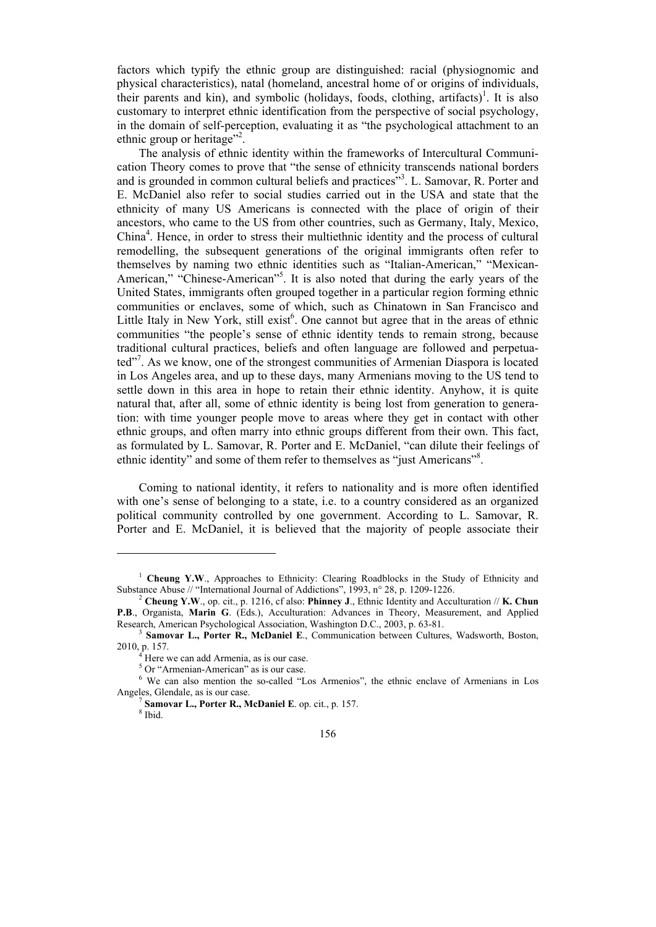factors which typify the ethnic group are distinguished: racial (physiognomic and physical characteristics), natal (homeland, ancestral home of or origins of individuals, their parents and kin), and symbolic (holidays, foods, clothing, artifacts)<sup>1</sup>. It is also customary to interpret ethnic identification from the perspective of social psychology, in the domain of self-perception, evaluating it as "the psychological attachment to an ethnic group or heritage"<sup>2</sup>.

The analysis of ethnic identity within the frameworks of Intercultural Communication Theory comes to prove that "the sense of ethnicity transcends national borders and is grounded in common cultural beliefs and practices"<sup>3</sup>. L. Samovar, R. Porter and E. McDaniel also refer to social studies carried out in the USA and state that the ethnicity of many US Americans is connected with the place of origin of their ancestors, who came to the US from other countries, such as Germany, Italy, Mexico, China4 . Hence, in order to stress their multiethnic identity and the process of cultural remodelling, the subsequent generations of the original immigrants often refer to themselves by naming two ethnic identities such as "Italian-American," "Mexican-American," "Chinese-American"<sup>5</sup>. It is also noted that during the early years of the United States, immigrants often grouped together in a particular region forming ethnic communities or enclaves, some of which, such as Chinatown in San Francisco and Little Italy in New York, still exist<sup>6</sup>. One cannot but agree that in the areas of ethnic communities "the people's sense of ethnic identity tends to remain strong, because traditional cultural practices, beliefs and often language are followed and perpetuated"<sup>7</sup>. As we know, one of the strongest communities of Armenian Diaspora is located in Los Angeles area, and up to these days, many Armenians moving to the US tend to settle down in this area in hope to retain their ethnic identity. Anyhow, it is quite natural that, after all, some of ethnic identity is being lost from generation to generation: with time younger people move to areas where they get in contact with other ethnic groups, and often marry into ethnic groups different from their own. This fact, as formulated by L. Samovar, R. Porter and E. McDaniel, "can dilute their feelings of ethnic identity" and some of them refer to themselves as "just Americans"<sup>8</sup>.

Coming to national identity, it refers to nationality and is more often identified with one's sense of belonging to a state, i.e. to a country considered as an organized political community controlled by one government. According to L. Samovar, R. Porter and E. McDaniel, it is believed that the majority of people associate their

<sup>&</sup>lt;sup>1</sup> Cheung Y.W., Approaches to Ethnicity: Clearing Roadblocks in the Study of Ethnicity and Substance Abuse // "International Journal of Addictions", 1993, n° 28, p. 1209-1226.

**Cheung Y.W**., op. cit., p. 1216, cf also: **Phinney J**., Ethnic Identity and Acculturation // **K. Chun P.B**., Organista, **Marin G**. (Eds.), Acculturation: Advances in Theory, Measurement, and Applied Research, American Psychological Association, Washington D.C., 2003, p. 63-81.

<sup>&</sup>lt;sup>3</sup> Samovar L., Porter R., McDaniel E., Communication between Cultures, Wadsworth, Boston, 2010, p. 157. 4

Here we can add Armenia, as is our case.

<sup>5</sup> Or "Armenian-American" as is our case.

<sup>&</sup>lt;sup>6</sup> We can also mention the so-called "Los Armenios", the ethnic enclave of Armenians in Los Angeles, Glendale, as is our case. 7

Samovar L., Porter R., McDaniel E. op. cit., p. 157. <sup>8</sup> Ibid.

<sup>156</sup>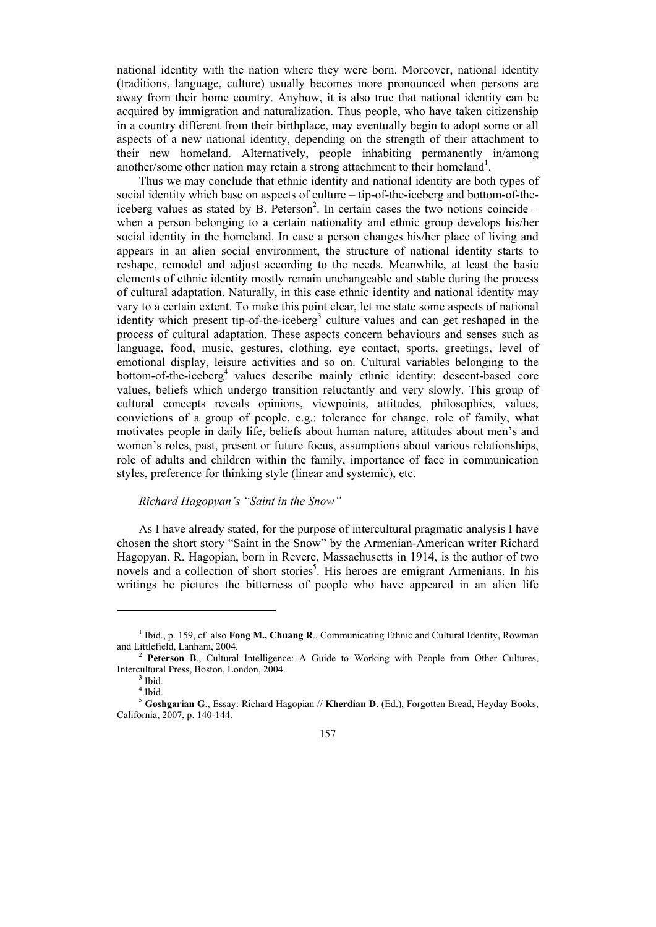national identity with the nation where they were born. Moreover, national identity (traditions, language, culture) usually becomes more pronounced when persons are away from their home country. Anyhow, it is also true that national identity can be acquired by immigration and naturalization. Thus people, who have taken citizenship in a country different from their birthplace, may eventually begin to adopt some or all aspects of a new national identity, depending on the strength of their attachment to their new homeland. Alternatively, people inhabiting permanently in/among another/some other nation may retain a strong attachment to their homeland<sup>1</sup>.

Thus we may conclude that ethnic identity and national identity are both types of social identity which base on aspects of culture – tip-of-the-iceberg and bottom-of-theiceberg values as stated by B. Peterson<sup>2</sup>. In certain cases the two notions coincide  $$ when a person belonging to a certain nationality and ethnic group develops his/her social identity in the homeland. In case a person changes his/her place of living and appears in an alien social environment, the structure of national identity starts to reshape, remodel and adjust according to the needs. Meanwhile, at least the basic elements of ethnic identity mostly remain unchangeable and stable during the process of cultural adaptation. Naturally, in this case ethnic identity and national identity may vary to a certain extent. To make this point clear, let me state some aspects of national identity which present tip-of-the-iceberg<sup>3</sup> culture values and can get reshaped in the process of cultural adaptation. These aspects concern behaviours and senses such as language, food, music, gestures, clothing, eye contact, sports, greetings, level of emotional display, leisure activities and so on. Cultural variables belonging to the bottom-of-the-iceberg<sup>4</sup> values describe mainly ethnic identity: descent-based core values, beliefs which undergo transition reluctantly and very slowly. This group of cultural concepts reveals opinions, viewpoints, attitudes, philosophies, values, convictions of a group of people, e.g.: tolerance for change, role of family, what motivates people in daily life, beliefs about human nature, attitudes about men's and women's roles, past, present or future focus, assumptions about various relationships, role of adults and children within the family, importance of face in communication styles, preference for thinking style (linear and systemic), etc.

## *Richard Hagopyan's "Saint in the Snow"*

As I have already stated, for the purpose of intercultural pragmatic analysis I have chosen the short story "Saint in the Snow" by the Armenian-American writer Richard Hagopyan. R. Hagopian, born in Revere, Massachusetts in 1914, is the author of two novels and a collection of short stories<sup>5</sup>. His heroes are emigrant Armenians. In his writings he pictures the bitterness of people who have appeared in an alien life

<sup>&</sup>lt;sup>1</sup> Ibid., p. 159, cf. also **Fong M., Chuang R**., Communicating Ethnic and Cultural Identity, Rowman and Littlefield, Lanham, 2004.

**Peterson B**., Cultural Intelligence: A Guide to Working with People from Other Cultures, Intercultural Press, Boston, London, 2004.

 $3$  Ibid.

<sup>4</sup> Ibid.

<sup>5</sup> **Goshgarian G**., Essay: Richard Hagopian // **Kherdian D**. (Ed.), Forgotten Bread, Heyday Books, California, 2007, p. 140-144.

<sup>157</sup>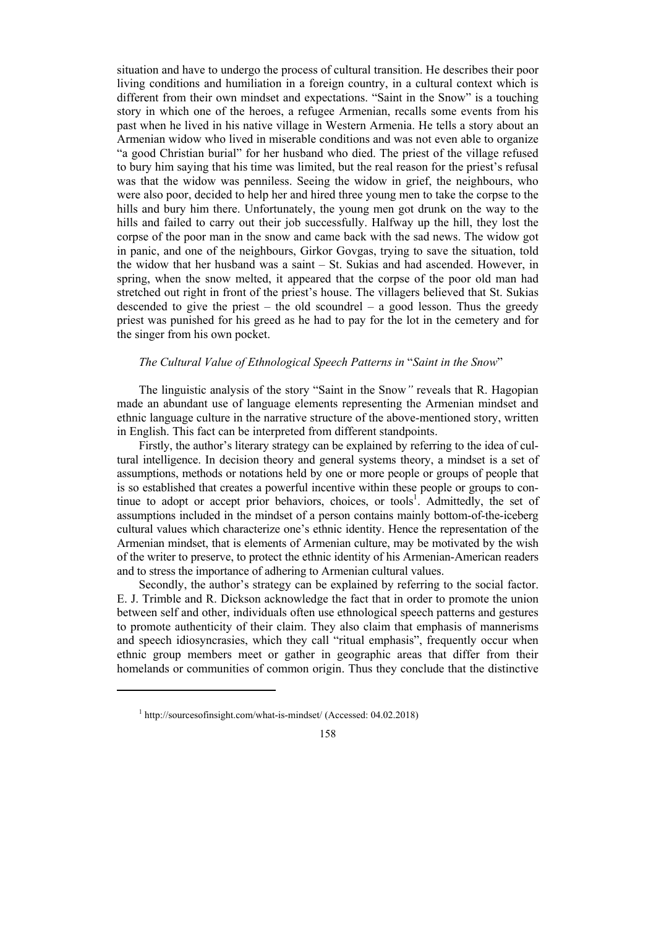situation and have to undergo the process of cultural transition. He describes their poor living conditions and humiliation in a foreign country, in a cultural context which is different from their own mindset and expectations. "Saint in the Snow" is a touching story in which one of the heroes, a refugee Armenian, recalls some events from his past when he lived in his native village in Western Armenia. He tells a story about an Armenian widow who lived in miserable conditions and was not even able to organize "a good Christian burial" for her husband who died. The priest of the village refused to bury him saying that his time was limited, but the real reason for the priest's refusal was that the widow was penniless. Seeing the widow in grief, the neighbours, who were also poor, decided to help her and hired three young men to take the corpse to the hills and bury him there. Unfortunately, the young men got drunk on the way to the hills and failed to carry out their job successfully. Halfway up the hill, they lost the corpse of the poor man in the snow and came back with the sad news. The widow got in panic, and one of the neighbours, Girkor Govgas, trying to save the situation, told the widow that her husband was a saint – St. Sukias and had ascended. However, in spring, when the snow melted, it appeared that the corpse of the poor old man had stretched out right in front of the priest's house. The villagers believed that St. Sukias descended to give the priest – the old scoundrel – a good lesson. Thus the greedy priest was punished for his greed as he had to pay for the lot in the cemetery and for the singer from his own pocket.

### *The Cultural Value of Ethnological Speech Patterns in* "*Saint in the Snow*"

The linguistic analysis of the story "Saint in the Snow*"* reveals that R. Hagopian made an abundant use of language elements representing the Armenian mindset and ethnic language culture in the narrative structure of the above-mentioned story, written in English. This fact can be interpreted from different standpoints.

Firstly, the author's literary strategy can be explained by referring to the idea of cultural intelligence. In decision theory and general systems theory, a mindset is a set of assumptions, methods or notations held by one or more people or groups of people that is so established that creates a powerful incentive within these people or groups to continue to adopt or accept prior behaviors, choices, or tools<sup>1</sup>. Admittedly, the set of assumptions included in the mindset of a person contains mainly bottom-of-the-iceberg cultural values which characterize one's ethnic identity. Hence the representation of the Armenian mindset, that is elements of Armenian culture, may be motivated by the wish of the writer to preserve, to protect the ethnic identity of his Armenian-American readers and to stress the importance of adhering to Armenian cultural values.

Secondly, the author's strategy can be explained by referring to the social factor. E. J. Trimble and R. Dickson acknowledge the fact that in order to promote the union between self and other, individuals often use ethnological speech patterns and gestures to promote authenticity of their claim. They also claim that emphasis of mannerisms and speech idiosyncrasies, which they call "ritual emphasis", frequently occur when ethnic group members meet or gather in geographic areas that differ from their homelands or communities of common origin. Thus they conclude that the distinctive

<sup>1</sup> http://sourcesofinsight.com/what-is-mindset/ (Accessed: 04.02.2018)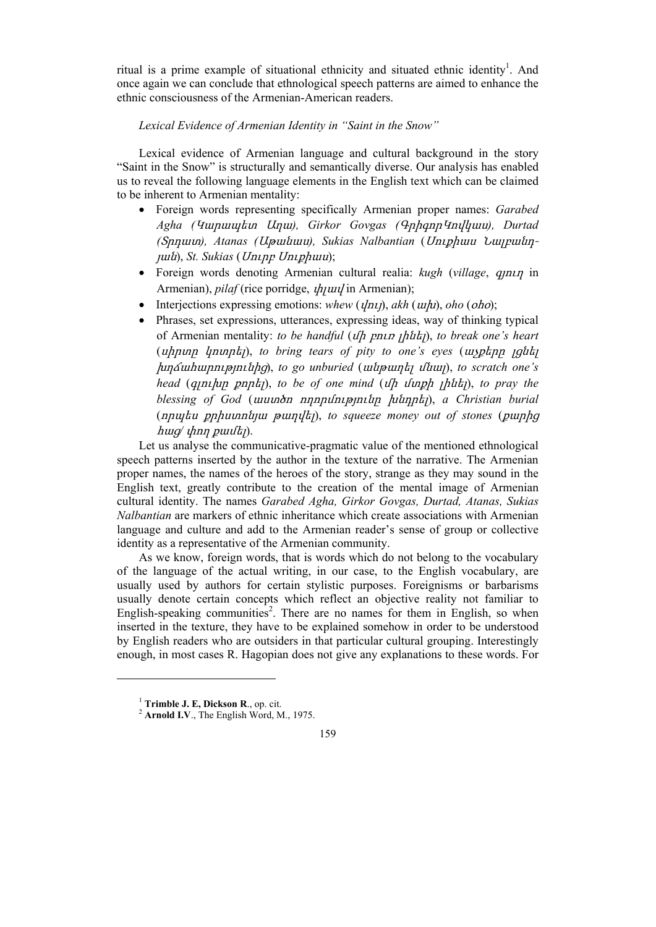ritual is a prime example of situational ethnicity and situated ethnic identity<sup>1</sup>. And once again we can conclude that ethnological speech patterns are aimed to enhance the ethnic consciousness of the Armenian-American readers.

## *Lexical Evidence of Armenian Identity in "Saint in the Snow"*

Lexical evidence of Armenian language and cultural background in the story "Saint in the Snow" is structurally and semantically diverse. Our analysis has enabled us to reveal the following language elements in the English text which can be claimed to be inherent to Armenian mentality:

- Foreign words representing specifically Armenian proper names: *Garabed Agha (*Կարապետ Աղա*), Girkor Govgas (*ԳրիգորԿովկաս*), Durtad (*Տրդատ*), Atanas (*Աթանաս*), Sukias Nalbantian* (Սուքիաս Նալբանդյան), *St. Sukias* (Սուրբ Սուքիաս);
- Foreign words denoting Armenian cultural realia: *kugh* (*village*, գյուղ in Armenian), *pilaf* (rice porridge, փլավ in Armenian);
- Interjections expressing emotions: *whew* (*վnι)*, *akh* (*wh)*, *oho* (*oho*);
- Phrases, set expressions, utterances, expressing ideas, way of thinking typical of Armenian mentality: *to be handful* (մի բուռ լինել), *to break one's heart*  (սիրտը կոտրել), *to bring tears of pity to one's eyes* (աչքերը լցնել խղճահարությունից), *to go unburied* (անթաղել մնալ), *to scratch one's head* (գլուխը քորել), *to be of one mind* (մի մտքի լինել), *to pray the blessing of God* (աստծո ողորմությունը խնդրել), *a Christian burial* (որպես քրիստոնյա թաղվել), *to squeeze money out of stones* (քարից հաց*/* փող քամել).

Let us analyse the communicative-pragmatic value of the mentioned ethnological speech patterns inserted by the author in the texture of the narrative. The Armenian proper names, the names of the heroes of the story, strange as they may sound in the English text, greatly contribute to the creation of the mental image of Armenian cultural identity. The names *Garabed Agha, Girkor Govgas, Durtad, Atanas, Sukias Nalbantian* are markers of ethnic inheritance which create associations with Armenian language and culture and add to the Armenian reader's sense of group or collective identity as a representative of the Armenian community.

As we know, foreign words, that is words which do not belong to the vocabulary of the language of the actual writing, in our case, to the English vocabulary, are usually used by authors for certain stylistic purposes. Foreignisms or barbarisms usually denote certain concepts which reflect an objective reality not familiar to English-speaking communities<sup>2</sup>. There are no names for them in English, so when inserted in the texture, they have to be explained somehow in order to be understood by English readers who are outsiders in that particular cultural grouping. Interestingly enough, in most cases R. Hagopian does not give any explanations to these words. For

<sup>&</sup>lt;sup>1</sup> **Trimble J. E, Dickson R**., op. cit.<br><sup>2</sup> **Arnold I.V**., The English Word, M., 1975.

<sup>159</sup>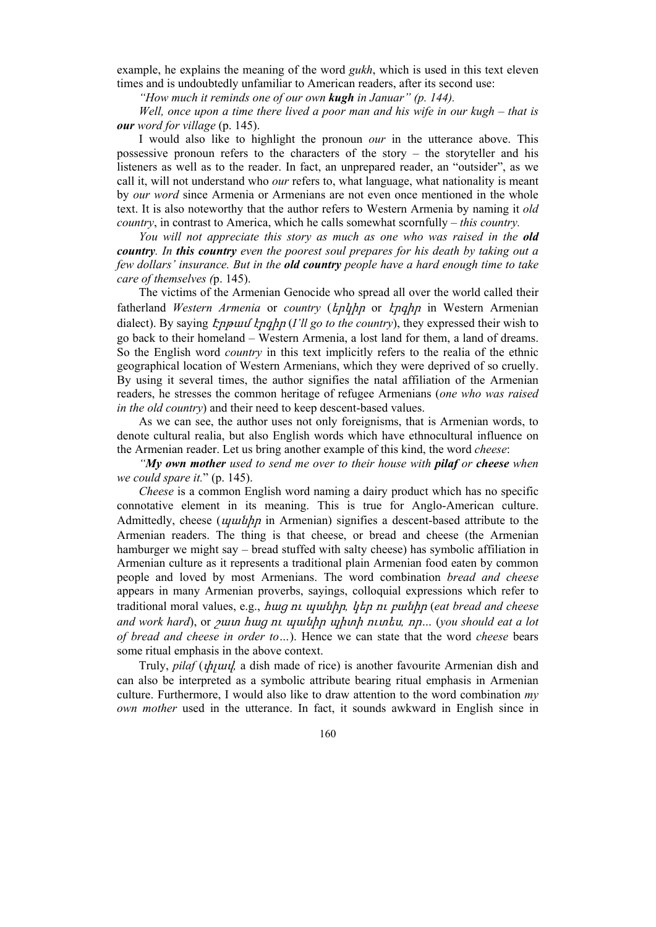example, he explains the meaning of the word *gukh*, which is used in this text eleven times and is undoubtedly unfamiliar to American readers, after its second use:

*"How much it reminds one of our own kugh in Januar" (p. 144).* 

*Well, once upon a time there lived a poor man and his wife in our kugh – that is our word for village* (p. 145).

I would also like to highlight the pronoun *our* in the utterance above. This possessive pronoun refers to the characters of the story – the storyteller and his listeners as well as to the reader. In fact, an unprepared reader, an "outsider", as we call it, will not understand who *our* refers to, what language, what nationality is meant by *our word* since Armenia or Armenians are not even once mentioned in the whole text. It is also noteworthy that the author refers to Western Armenia by naming it *old country*, in contrast to America, which he calls somewhat scornfully – *this country.*

*You will not appreciate this story as much as one who was raised in the old country. In this country even the poorest soul prepares for his death by taking out a few dollars' insurance. But in the old country people have a hard enough time to take care of themselves (*p. 145).

The victims of the Armenian Genocide who spread all over the world called their fatherland *Western Armenia* or *country* (երկիր or էրգիր in Western Armenian dialect). By saying Էրթամ էրգիր (*I'll go to the country*), they expressed their wish to go back to their homeland – Western Armenia, a lost land for them, a land of dreams. So the English word *country* in this text implicitly refers to the realia of the ethnic geographical location of Western Armenians, which they were deprived of so cruelly. By using it several times, the author signifies the natal affiliation of the Armenian readers, he stresses the common heritage of refugee Armenians (*one who was raised in the old country*) and their need to keep descent-based values.

As we can see, the author uses not only foreignisms, that is Armenian words, to denote cultural realia, but also English words which have ethnocultural influence on the Armenian reader. Let us bring another example of this kind, the word *cheese*:

*"My own mother used to send me over to their house with pilaf or cheese when we could spare it.*" (p. 145).

*Cheese* is a common English word naming a dairy product which has no specific connotative element in its meaning. This is true for Anglo-American culture. Admittedly, cheese ( $\psi$ uuth  $\eta$  in Armenian) signifies a descent-based attribute to the Armenian readers. The thing is that cheese, or bread and cheese (the Armenian hamburger we might say – bread stuffed with salty cheese) has symbolic affiliation in Armenian culture as it represents a traditional plain Armenian food eaten by common people and loved by most Armenians. The word combination *bread and cheese* appears in many Armenian proverbs, sayings, colloquial expressions which refer to traditional moral values, e.g., հաց ու պանիր*,* կեր ու բանիր (*eat bread and cheese and work hard*), or շատ հաց ու պանիր պիտի ուտես*,* որ*…* (*you should eat a lot of bread and cheese in order to…*). Hence we can state that the word *cheese* bears some ritual emphasis in the above context.

Truly, *pilaf* (փլավ*,* a dish made of rice) is another favourite Armenian dish and can also be interpreted as a symbolic attribute bearing ritual emphasis in Armenian culture. Furthermore, I would also like to draw attention to the word combination *my own mother* used in the utterance. In fact, it sounds awkward in English since in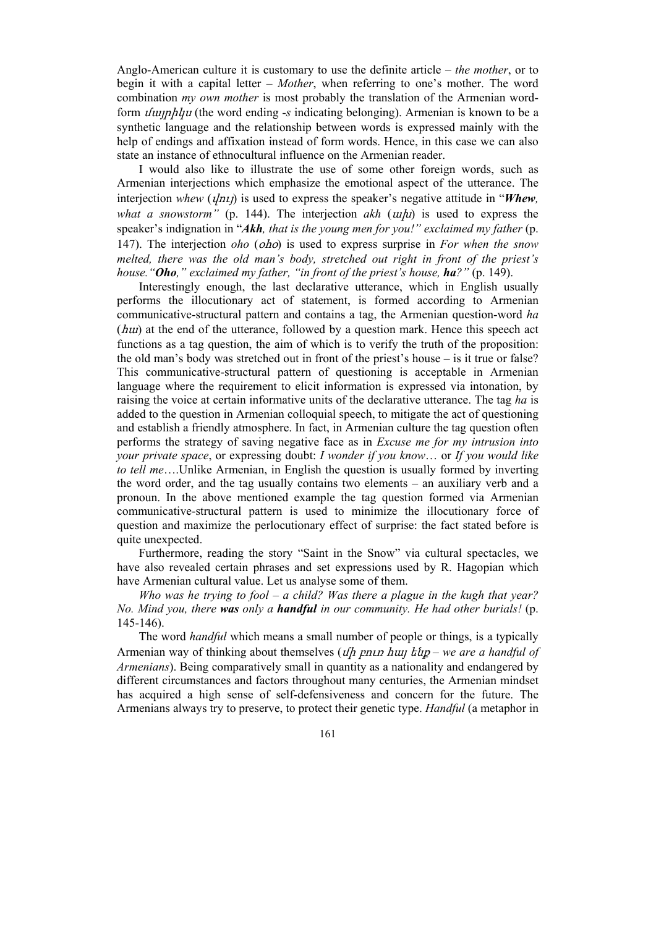Anglo-American culture it is customary to use the definite article – *the mother*, or to begin it with a capital letter – *Mother*, when referring to one's mother. The word combination *my own mother* is most probably the translation of the Armenian wordform մայրիկս (the word ending -*s* indicating belonging). Armenian is known to be a synthetic language and the relationship between words is expressed mainly with the help of endings and affixation instead of form words. Hence, in this case we can also state an instance of ethnocultural influence on the Armenian reader.

I would also like to illustrate the use of some other foreign words, such as Armenian interjections which emphasize the emotional aspect of the utterance. The interjection *whew* ( $y/2n\pi$ *)* is used to express the speaker's negative attitude in "*Whew*, *what a snowstorm*" (p. 144). The interjection *akh* (*ulu*) is used to express the speaker's indignation in "Akh, that is the young men for you!" exclaimed my father (p. 147). The interjection *oho* (օհօ) is used to express surprise in *For when the snow melted, there was the old man's body, stretched out right in front of the priest's house."Oho," exclaimed my father, "in front of the priest's house, ha?"* (p. 149).

Interestingly enough, the last declarative utterance, which in English usually performs the illocutionary act of statement, is formed according to Armenian communicative-structural pattern and contains a tag, the Armenian question-word *ha* (հա) at the end of the utterance, followed by a question mark. Hence this speech act functions as a tag question, the aim of which is to verify the truth of the proposition: the old man's body was stretched out in front of the priest's house – is it true or false? This communicative-structural pattern of questioning is acceptable in Armenian language where the requirement to elicit information is expressed via intonation, by raising the voice at certain informative units of the declarative utterance. The tag *ha* is added to the question in Armenian colloquial speech, to mitigate the act of questioning and establish a friendly atmosphere. In fact, in Armenian culture the tag question often performs the strategy of saving negative face as in *Excuse me for my intrusion into your private space*, or expressing doubt: *I wonder if you know*… or *If you would like to tell me*….Unlike Armenian, in English the question is usually formed by inverting the word order, and the tag usually contains two elements – an auxiliary verb and a pronoun. In the above mentioned example the tag question formed via Armenian communicative-structural pattern is used to minimize the illocutionary force of question and maximize the perlocutionary effect of surprise: the fact stated before is quite unexpected.

Furthermore, reading the story "Saint in the Snow" via cultural spectacles, we have also revealed certain phrases and set expressions used by R. Hagopian which have Armenian cultural value. Let us analyse some of them.

*Who was he trying to fool – a child? Was there a plague in the kugh that year? No. Mind you, there was only a handful in our community. He had other burials!* (p. 145-146).

The word *handful* which means a small number of people or things, is a typically Armenian way of thinking about themselves (մի բուռ հայ ենք – *we are a handful of Armenians*). Being comparatively small in quantity as a nationality and endangered by different circumstances and factors throughout many centuries, the Armenian mindset has acquired a high sense of self-defensiveness and concern for the future. The Armenians always try to preserve, to protect their genetic type. *Handful* (a metaphor in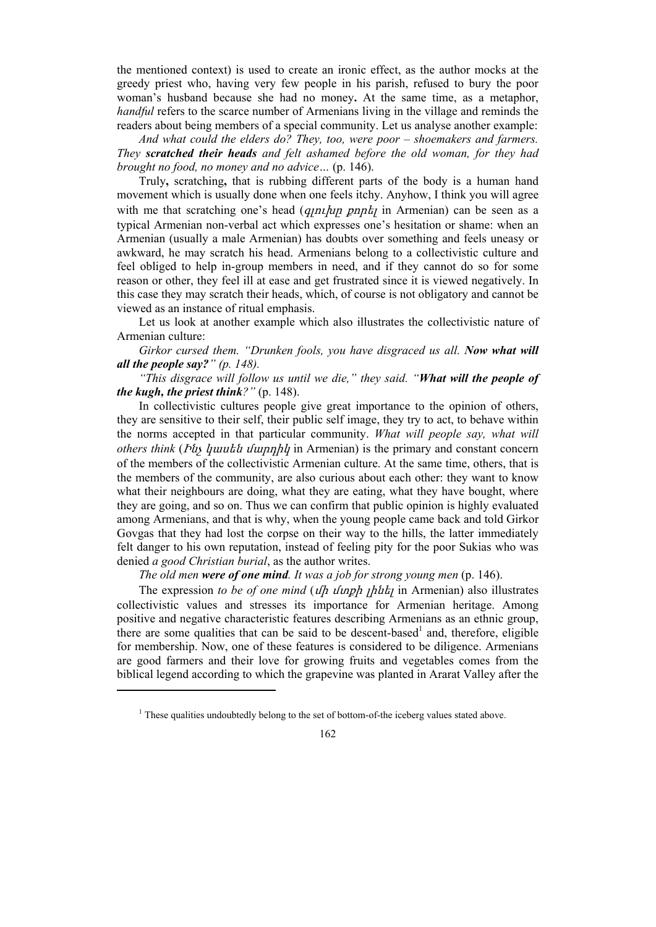the mentioned context) is used to create an ironic effect, as the author mocks at the greedy priest who, having very few people in his parish, refused to bury the poor woman's husband because she had no money**.** At the same time, as a metaphor, *handful* refers to the scarce number of Armenians living in the village and reminds the readers about being members of a special community. Let us analyse another example:

*And what could the elders do? They, too, were poor – shoemakers and farmers. They scratched their heads and felt ashamed before the old woman, for they had brought no food, no money and no advice…* (p. 146).

Truly**,** scratching**,** that is rubbing different parts of the body is a human hand movement which is usually done when one feels itchy. Anyhow, I think you will agree with me that scratching one's head (*q<sub>I</sub>niphy pnph<sub>i</sub>* in Armenian) can be seen as a typical Armenian non-verbal act which expresses one's hesitation or shame: when an Armenian (usually a male Armenian) has doubts over something and feels uneasy or awkward, he may scratch his head. Armenians belong to a collectivistic culture and feel obliged to help in-group members in need, and if they cannot do so for some reason or other, they feel ill at ease and get frustrated since it is viewed negatively. In this case they may scratch their heads, which, of course is not obligatory and cannot be viewed as an instance of ritual emphasis.

Let us look at another example which also illustrates the collectivistic nature of Armenian culture:

*Girkor cursed them. "Drunken fools, you have disgraced us all. Now what will all the people say?" (p. 148).* 

*"This disgrace will follow us until we die," they said. "What will the people of the kugh, the priest think?"* (p. 148).

In collectivistic cultures people give great importance to the opinion of others, they are sensitive to their self, their public self image, they try to act, to behave within the norms accepted in that particular community. *What will people say, what will others think* (Ինչ կասեն մարդիկ in Armenian) is the primary and constant concern of the members of the collectivistic Armenian culture. At the same time, others, that is the members of the community, are also curious about each other: they want to know what their neighbours are doing, what they are eating, what they have bought, where they are going, and so on. Thus we can confirm that public opinion is highly evaluated among Armenians, and that is why, when the young people came back and told Girkor Govgas that they had lost the corpse on their way to the hills, the latter immediately felt danger to his own reputation, instead of feeling pity for the poor Sukias who was denied *a good Christian burial*, as the author writes.

*The old men were of one mind. It was a job for strong young men* (p. 146).

The expression *to be of one mind* (*ulh uluph <sub>l</sub>huth* in Armenian) also illustrates collectivistic values and stresses its importance for Armenian heritage. Among positive and negative characteristic features describing Armenians as an ethnic group, there are some qualities that can be said to be descent-based<sup>1</sup> and, therefore, eligible for membership. Now, one of these features is considered to be diligence. Armenians are good farmers and their love for growing fruits and vegetables comes from the biblical legend according to which the grapevine was planted in Ararat Valley after the

 $<sup>1</sup>$  These qualities undoubtedly belong to the set of bottom-of-the iceberg values stated above.</sup>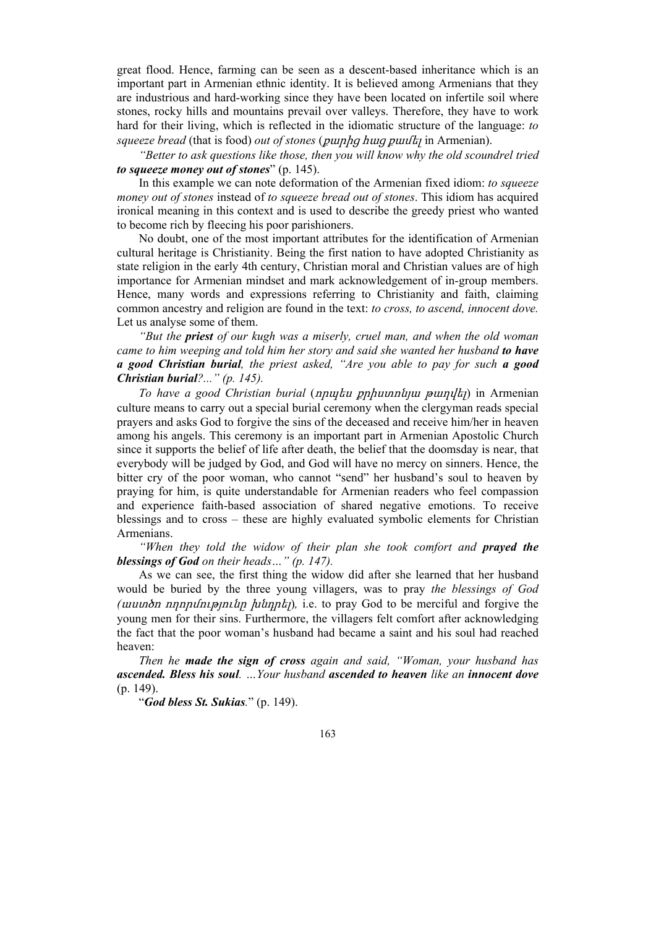great flood. Hence, farming can be seen as a descent-based inheritance which is an important part in Armenian ethnic identity. It is believed among Armenians that they are industrious and hard-working since they have been located on infertile soil where stones, rocky hills and mountains prevail over valleys. Therefore, they have to work hard for their living, which is reflected in the idiomatic structure of the language: *to squeeze bread* (that is food) *out of stones* (քարից հաց քամել in Armenian).

*"Better to ask questions like those, then you will know why the old scoundrel tried to squeeze money out of stones*" (p. 145).

In this example we can note deformation of the Armenian fixed idiom: *to squeeze money out of stones* instead of *to squeeze bread out of stones*. This idiom has acquired ironical meaning in this context and is used to describe the greedy priest who wanted to become rich by fleecing his poor parishioners.

No doubt, one of the most important attributes for the identification of Armenian cultural heritage is Christianity. Being the first nation to have adopted Christianity as state religion in the early 4th century, Christian moral and Christian values are of high importance for Armenian mindset and mark acknowledgement of in-group members. Hence, many words and expressions referring to Christianity and faith, claiming common ancestry and religion are found in the text: *to cross, to ascend, innocent dove.*  Let us analyse some of them.

*"But the priest of our kugh was a miserly, cruel man, and when the old woman came to him weeping and told him her story and said she wanted her husband to have a good Christian burial, the priest asked, "Are you able to pay for such a good Christian burial?..." (p. 145).* 

*To have a good Christian burial* (որպես քրիստոնյա թաղվել) in Armenian culture means to carry out a special burial ceremony when the clergyman reads special prayers and asks God to forgive the sins of the deceased and receive him/her in heaven among his angels. This ceremony is an important part in Armenian Apostolic Church since it supports the belief of life after death, the belief that the doomsday is near, that everybody will be judged by God, and God will have no mercy on sinners. Hence, the bitter cry of the poor woman, who cannot "send" her husband's soul to heaven by praying for him, is quite understandable for Armenian readers who feel compassion and experience faith-based association of shared negative emotions. To receive blessings and to cross – these are highly evaluated symbolic elements for Christian Armenians.

*"When they told the widow of their plan she took comfort and prayed the blessings of God on their heads…" (p. 147).*

As we can see, the first thing the widow did after she learned that her husband would be buried by the three young villagers, was to pray *the blessings of God (*աստծո ողորմությունը խնդրել)*,* i.e. to pray God to be merciful and forgive the young men for their sins. Furthermore, the villagers felt comfort after acknowledging the fact that the poor woman's husband had became a saint and his soul had reached heaven:

*Then he made the sign of cross again and said, "Woman, your husband has ascended. Bless his soul. …Your husband ascended to heaven like an innocent dove*  (p. 149).

"*God bless St. Sukias.*" (p. 149).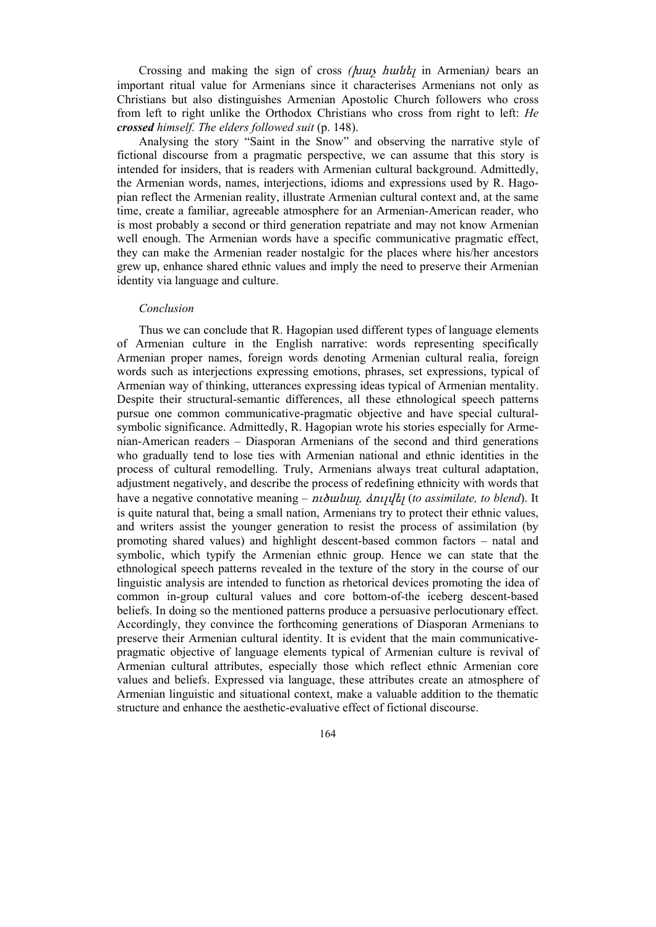Crossing and making the sign of cross *(*խաչ հանել in Armenian*)* bears an important ritual value for Armenians since it characterises Armenians not only as Christians but also distinguishes Armenian Apostolic Church followers who cross from left to right unlike the Orthodox Christians who cross from right to left: *He crossed himself. The elders followed suit* (p. 148).

Analysing the story "Saint in the Snow" and observing the narrative style of fictional discourse from a pragmatic perspective, we can assume that this story is intended for insiders, that is readers with Armenian cultural background. Admittedly, the Armenian words, names, interjections, idioms and expressions used by R. Hagopian reflect the Armenian reality, illustrate Armenian cultural context and, at the same time, create a familiar, agreeable atmosphere for an Armenian-American reader, who is most probably a second or third generation repatriate and may not know Armenian well enough. The Armenian words have a specific communicative pragmatic effect, they can make the Armenian reader nostalgic for the places where his/her ancestors grew up, enhance shared ethnic values and imply the need to preserve their Armenian identity via language and culture.

## *Conclusion*

Thus we can conclude that R. Hagopian used different types of language elements of Armenian culture in the English narrative: words representing specifically Armenian proper names, foreign words denoting Armenian cultural realia, foreign words such as interjections expressing emotions, phrases, set expressions, typical of Armenian way of thinking, utterances expressing ideas typical of Armenian mentality. Despite their structural-semantic differences, all these ethnological speech patterns pursue one common communicative-pragmatic objective and have special culturalsymbolic significance. Admittedly, R. Hagopian wrote his stories especially for Armenian-American readers – Diasporan Armenians of the second and third generations who gradually tend to lose ties with Armenian national and ethnic identities in the process of cultural remodelling. Truly, Armenians always treat cultural adaptation, adjustment negatively, and describe the process of redefining ethnicity with words that have a negative connotative meaning – ուծանալ*,* ձուլվել (*to assimilate, to blend*). It is quite natural that, being a small nation, Armenians try to protect their ethnic values, and writers assist the younger generation to resist the process of assimilation (by promoting shared values) and highlight descent-based common factors – natal and symbolic, which typify the Armenian ethnic group. Hence we can state that the ethnological speech patterns revealed in the texture of the story in the course of our linguistic analysis are intended to function as rhetorical devices promoting the idea of common in-group cultural values and core bottom-of-the iceberg descent-based beliefs. In doing so the mentioned patterns produce a persuasive perlocutionary effect. Accordingly, they convince the forthcoming generations of Diasporan Armenians to preserve their Armenian cultural identity. It is evident that the main communicativepragmatic objective of language elements typical of Armenian culture is revival of Armenian cultural attributes, especially those which reflect ethnic Armenian core values and beliefs. Expressed via language, these attributes create an atmosphere of Armenian linguistic and situational context, make a valuable addition to the thematic structure and enhance the aesthetic-evaluative effect of fictional discourse.